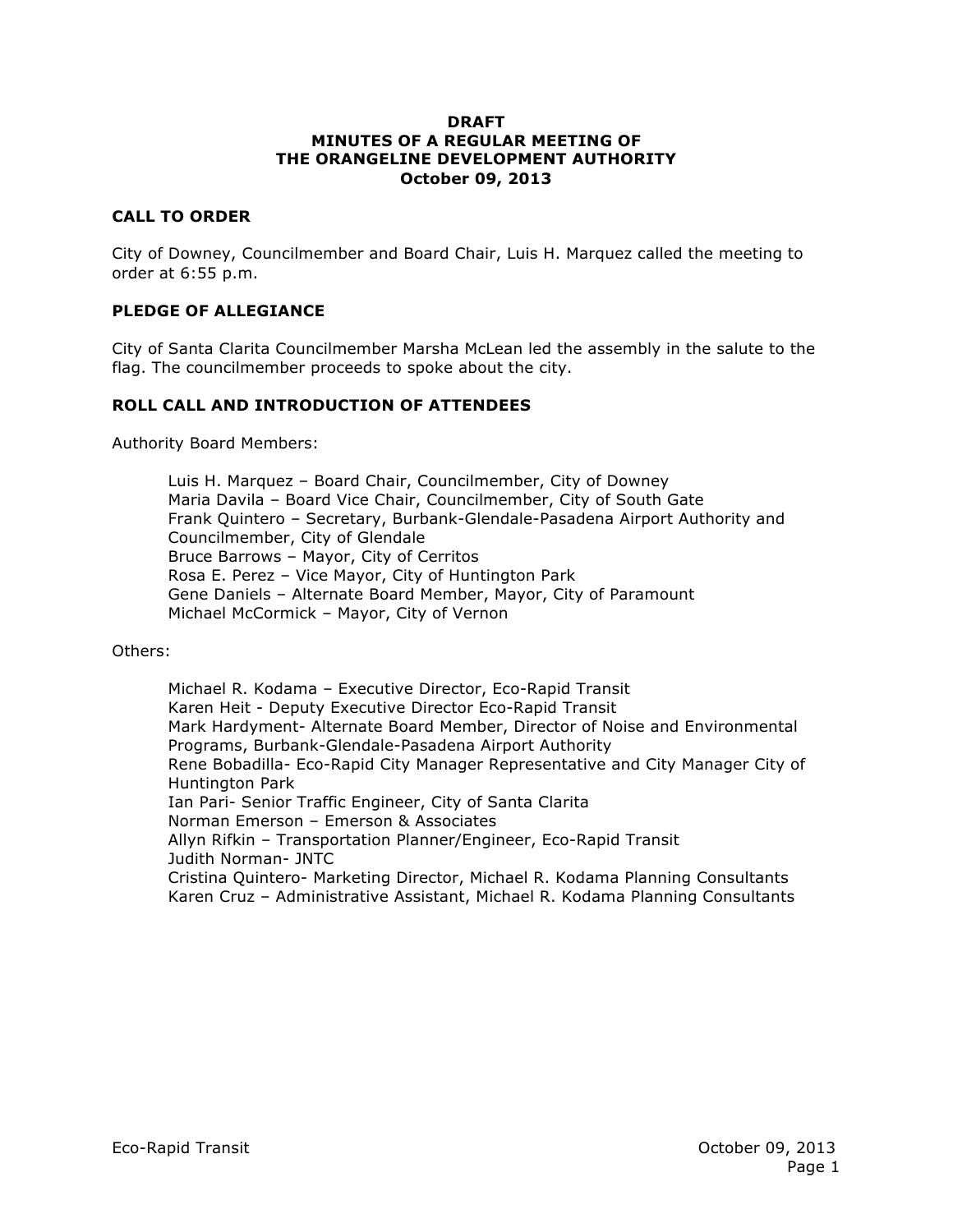#### **DRAFT MINUTES OF A REGULAR MEETING OF THE ORANGELINE DEVELOPMENT AUTHORITY October 09, 2013**

#### **CALL TO ORDER**

City of Downey, Councilmember and Board Chair, Luis H. Marquez called the meeting to order at 6:55 p.m.

#### **PLEDGE OF ALLEGIANCE**

City of Santa Clarita Councilmember Marsha McLean led the assembly in the salute to the flag. The councilmember proceeds to spoke about the city.

#### **ROLL CALL AND INTRODUCTION OF ATTENDEES**

Authority Board Members:

Luis H. Marquez – Board Chair, Councilmember, City of Downey Maria Davila – Board Vice Chair, Councilmember, City of South Gate Frank Quintero – Secretary, Burbank-Glendale-Pasadena Airport Authority and Councilmember, City of Glendale Bruce Barrows – Mayor, City of Cerritos Rosa E. Perez – Vice Mayor, City of Huntington Park Gene Daniels – Alternate Board Member, Mayor, City of Paramount Michael McCormick – Mayor, City of Vernon

Others:

Michael R. Kodama – Executive Director, Eco-Rapid Transit Karen Heit - Deputy Executive Director Eco-Rapid Transit Mark Hardyment- Alternate Board Member, Director of Noise and Environmental Programs, Burbank-Glendale-Pasadena Airport Authority Rene Bobadilla- Eco-Rapid City Manager Representative and City Manager City of Huntington Park Ian Pari- Senior Traffic Engineer, City of Santa Clarita Norman Emerson – Emerson & Associates Allyn Rifkin – Transportation Planner/Engineer, Eco-Rapid Transit Judith Norman- JNTC Cristina Quintero- Marketing Director, Michael R. Kodama Planning Consultants Karen Cruz – Administrative Assistant, Michael R. Kodama Planning Consultants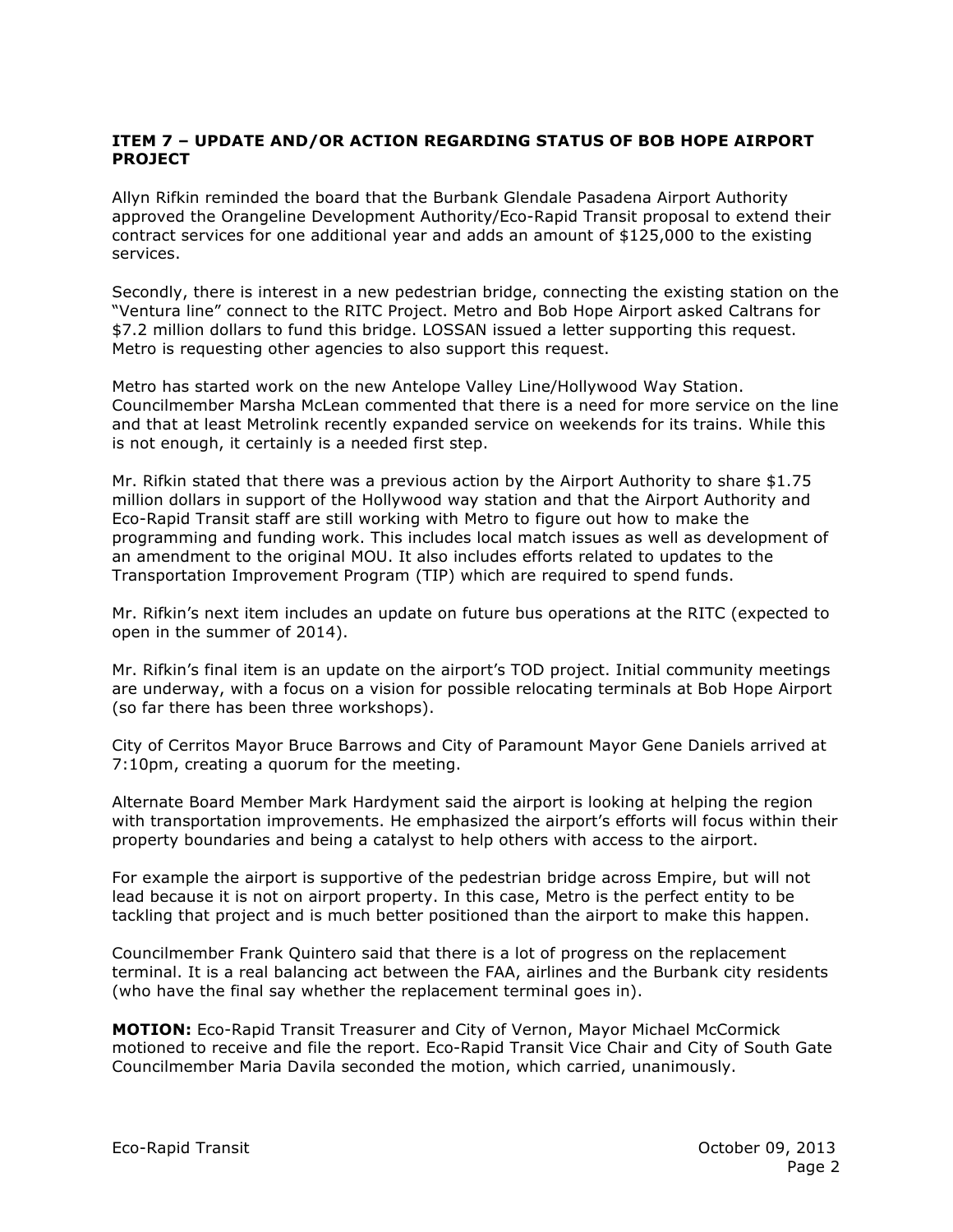#### **ITEM 7 – UPDATE AND/OR ACTION REGARDING STATUS OF BOB HOPE AIRPORT PROJECT**

Allyn Rifkin reminded the board that the Burbank Glendale Pasadena Airport Authority approved the Orangeline Development Authority/Eco-Rapid Transit proposal to extend their contract services for one additional year and adds an amount of \$125,000 to the existing services.

Secondly, there is interest in a new pedestrian bridge, connecting the existing station on the "Ventura line" connect to the RITC Project. Metro and Bob Hope Airport asked Caltrans for \$7.2 million dollars to fund this bridge. LOSSAN issued a letter supporting this request. Metro is requesting other agencies to also support this request.

Metro has started work on the new Antelope Valley Line/Hollywood Way Station. Councilmember Marsha McLean commented that there is a need for more service on the line and that at least Metrolink recently expanded service on weekends for its trains. While this is not enough, it certainly is a needed first step.

Mr. Rifkin stated that there was a previous action by the Airport Authority to share \$1.75 million dollars in support of the Hollywood way station and that the Airport Authority and Eco-Rapid Transit staff are still working with Metro to figure out how to make the programming and funding work. This includes local match issues as well as development of an amendment to the original MOU. It also includes efforts related to updates to the Transportation Improvement Program (TIP) which are required to spend funds.

Mr. Rifkin's next item includes an update on future bus operations at the RITC (expected to open in the summer of 2014).

Mr. Rifkin's final item is an update on the airport's TOD project. Initial community meetings are underway, with a focus on a vision for possible relocating terminals at Bob Hope Airport (so far there has been three workshops).

City of Cerritos Mayor Bruce Barrows and City of Paramount Mayor Gene Daniels arrived at 7:10pm, creating a quorum for the meeting.

Alternate Board Member Mark Hardyment said the airport is looking at helping the region with transportation improvements. He emphasized the airport's efforts will focus within their property boundaries and being a catalyst to help others with access to the airport.

For example the airport is supportive of the pedestrian bridge across Empire, but will not lead because it is not on airport property. In this case, Metro is the perfect entity to be tackling that project and is much better positioned than the airport to make this happen.

Councilmember Frank Quintero said that there is a lot of progress on the replacement terminal. It is a real balancing act between the FAA, airlines and the Burbank city residents (who have the final say whether the replacement terminal goes in).

**MOTION:** Eco-Rapid Transit Treasurer and City of Vernon, Mayor Michael McCormick motioned to receive and file the report. Eco-Rapid Transit Vice Chair and City of South Gate Councilmember Maria Davila seconded the motion, which carried, unanimously.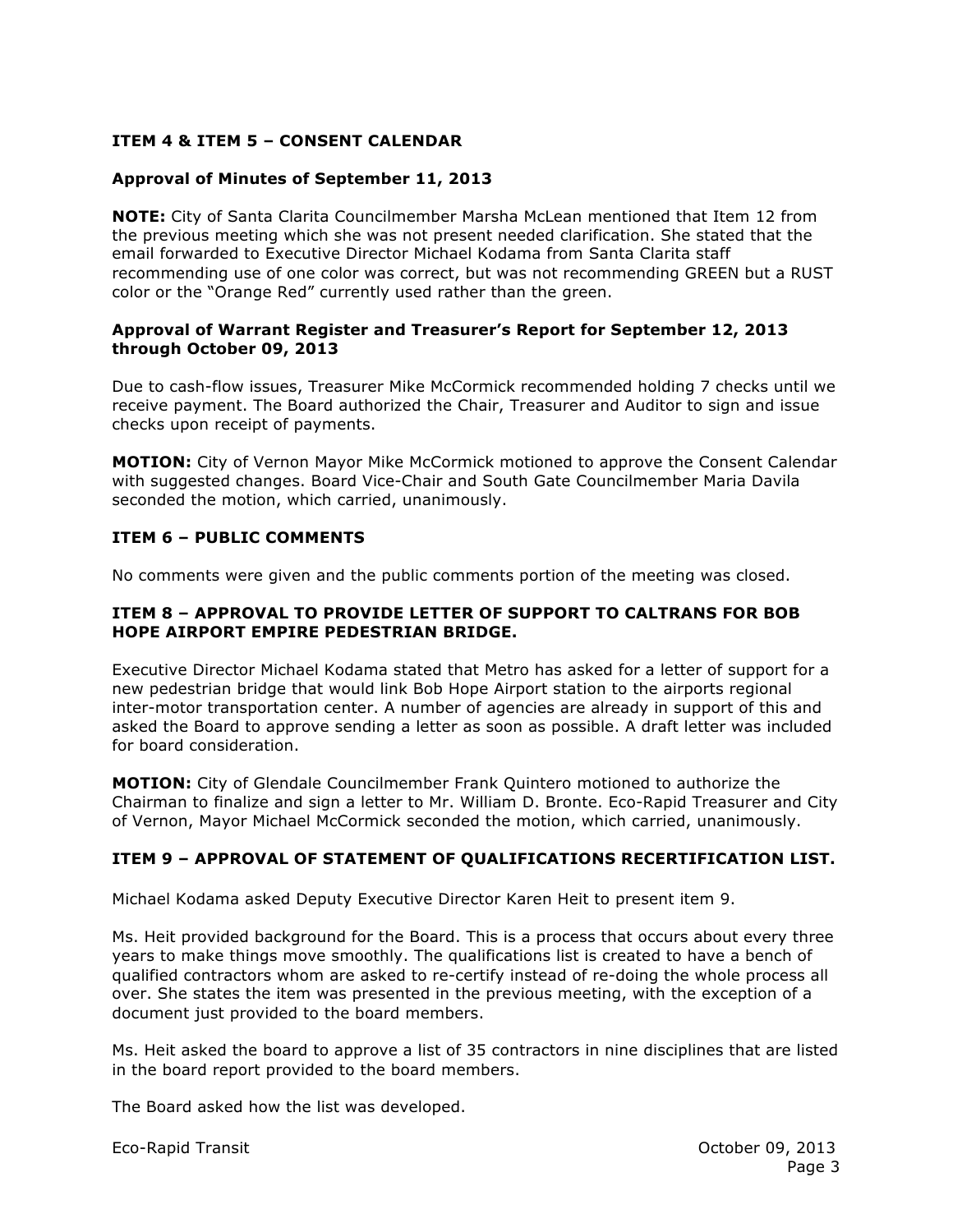## **ITEM 4 & ITEM 5 – CONSENT CALENDAR**

### **Approval of Minutes of September 11, 2013**

**NOTE:** City of Santa Clarita Councilmember Marsha McLean mentioned that Item 12 from the previous meeting which she was not present needed clarification. She stated that the email forwarded to Executive Director Michael Kodama from Santa Clarita staff recommending use of one color was correct, but was not recommending GREEN but a RUST color or the "Orange Red" currently used rather than the green.

#### **Approval of Warrant Register and Treasurer's Report for September 12, 2013 through October 09, 2013**

Due to cash-flow issues, Treasurer Mike McCormick recommended holding 7 checks until we receive payment. The Board authorized the Chair, Treasurer and Auditor to sign and issue checks upon receipt of payments.

**MOTION:** City of Vernon Mayor Mike McCormick motioned to approve the Consent Calendar with suggested changes. Board Vice-Chair and South Gate Councilmember Maria Davila seconded the motion, which carried, unanimously.

#### **ITEM 6 – PUBLIC COMMENTS**

No comments were given and the public comments portion of the meeting was closed.

#### **ITEM 8 – APPROVAL TO PROVIDE LETTER OF SUPPORT TO CALTRANS FOR BOB HOPE AIRPORT EMPIRE PEDESTRIAN BRIDGE.**

Executive Director Michael Kodama stated that Metro has asked for a letter of support for a new pedestrian bridge that would link Bob Hope Airport station to the airports regional inter-motor transportation center. A number of agencies are already in support of this and asked the Board to approve sending a letter as soon as possible. A draft letter was included for board consideration.

**MOTION:** City of Glendale Councilmember Frank Quintero motioned to authorize the Chairman to finalize and sign a letter to Mr. William D. Bronte. Eco-Rapid Treasurer and City of Vernon, Mayor Michael McCormick seconded the motion, which carried, unanimously.

## **ITEM 9 – APPROVAL OF STATEMENT OF QUALIFICATIONS RECERTIFICATION LIST.**

Michael Kodama asked Deputy Executive Director Karen Heit to present item 9.

Ms. Heit provided background for the Board. This is a process that occurs about every three years to make things move smoothly. The qualifications list is created to have a bench of qualified contractors whom are asked to re-certify instead of re-doing the whole process all over. She states the item was presented in the previous meeting, with the exception of a document just provided to the board members.

Ms. Heit asked the board to approve a list of 35 contractors in nine disciplines that are listed in the board report provided to the board members.

The Board asked how the list was developed.

Eco-Rapid Transit October 09, 2013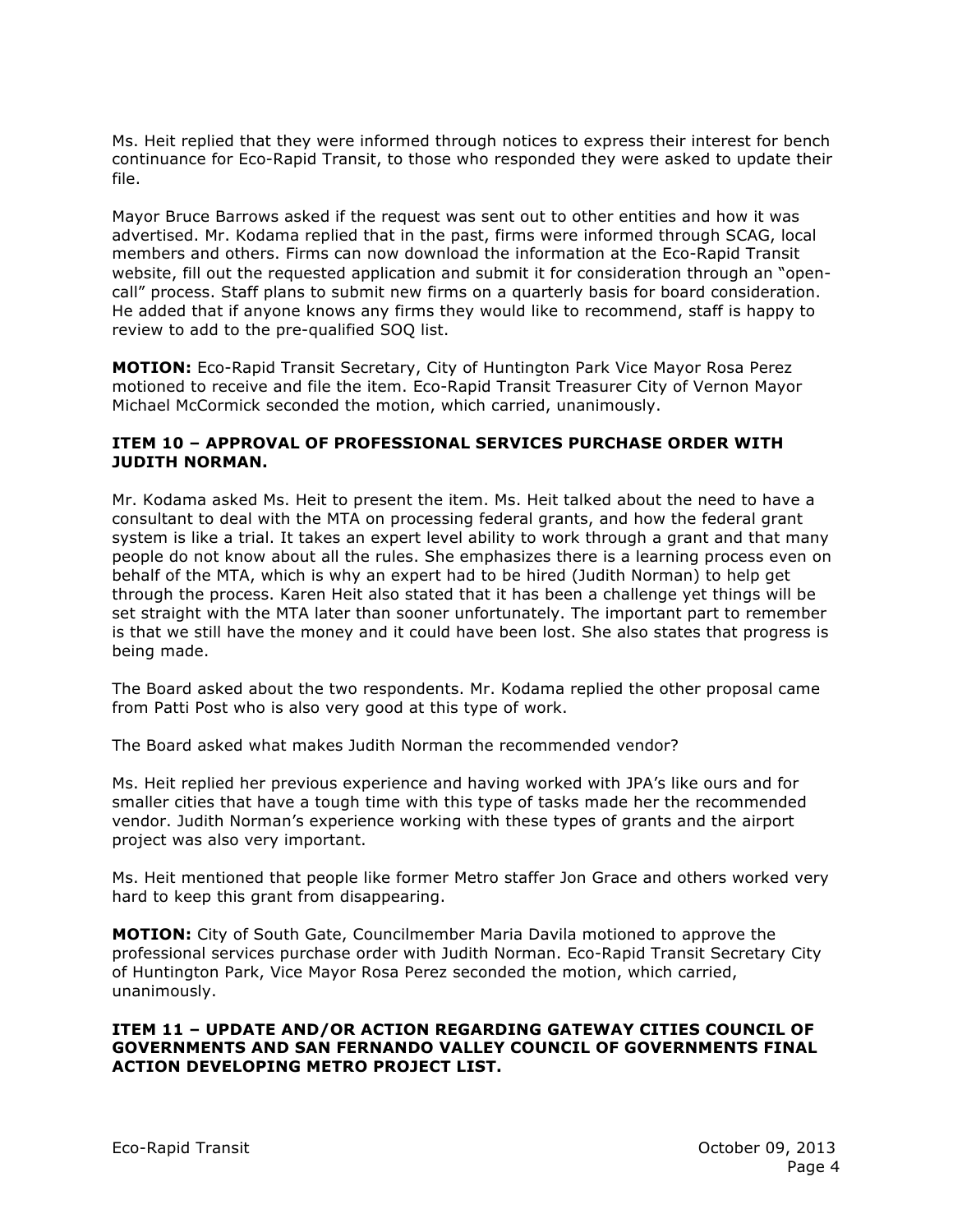Ms. Heit replied that they were informed through notices to express their interest for bench continuance for Eco-Rapid Transit, to those who responded they were asked to update their file.

Mayor Bruce Barrows asked if the request was sent out to other entities and how it was advertised. Mr. Kodama replied that in the past, firms were informed through SCAG, local members and others. Firms can now download the information at the Eco-Rapid Transit website, fill out the requested application and submit it for consideration through an "opencall" process. Staff plans to submit new firms on a quarterly basis for board consideration. He added that if anyone knows any firms they would like to recommend, staff is happy to review to add to the pre-qualified SOQ list.

**MOTION:** Eco-Rapid Transit Secretary, City of Huntington Park Vice Mayor Rosa Perez motioned to receive and file the item. Eco-Rapid Transit Treasurer City of Vernon Mayor Michael McCormick seconded the motion, which carried, unanimously.

#### **ITEM 10 – APPROVAL OF PROFESSIONAL SERVICES PURCHASE ORDER WITH JUDITH NORMAN.**

Mr. Kodama asked Ms. Heit to present the item. Ms. Heit talked about the need to have a consultant to deal with the MTA on processing federal grants, and how the federal grant system is like a trial. It takes an expert level ability to work through a grant and that many people do not know about all the rules. She emphasizes there is a learning process even on behalf of the MTA, which is why an expert had to be hired (Judith Norman) to help get through the process. Karen Heit also stated that it has been a challenge yet things will be set straight with the MTA later than sooner unfortunately. The important part to remember is that we still have the money and it could have been lost. She also states that progress is being made.

The Board asked about the two respondents. Mr. Kodama replied the other proposal came from Patti Post who is also very good at this type of work.

The Board asked what makes Judith Norman the recommended vendor?

Ms. Heit replied her previous experience and having worked with JPA's like ours and for smaller cities that have a tough time with this type of tasks made her the recommended vendor. Judith Norman's experience working with these types of grants and the airport project was also very important.

Ms. Heit mentioned that people like former Metro staffer Jon Grace and others worked very hard to keep this grant from disappearing.

**MOTION:** City of South Gate, Councilmember Maria Davila motioned to approve the professional services purchase order with Judith Norman. Eco-Rapid Transit Secretary City of Huntington Park, Vice Mayor Rosa Perez seconded the motion, which carried, unanimously.

#### **ITEM 11 – UPDATE AND/OR ACTION REGARDING GATEWAY CITIES COUNCIL OF GOVERNMENTS AND SAN FERNANDO VALLEY COUNCIL OF GOVERNMENTS FINAL ACTION DEVELOPING METRO PROJECT LIST.**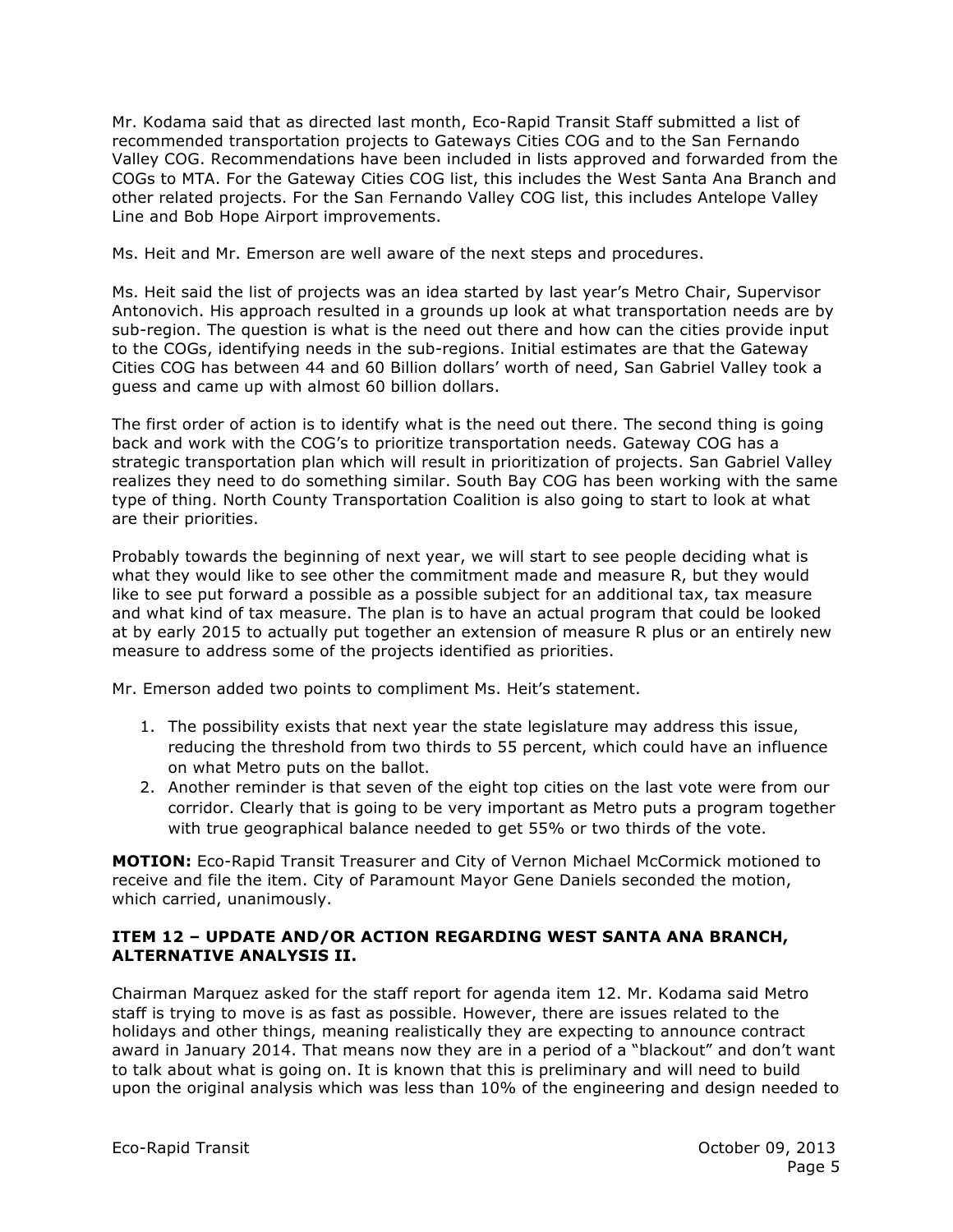Mr. Kodama said that as directed last month, Eco-Rapid Transit Staff submitted a list of recommended transportation projects to Gateways Cities COG and to the San Fernando Valley COG. Recommendations have been included in lists approved and forwarded from the COGs to MTA. For the Gateway Cities COG list, this includes the West Santa Ana Branch and other related projects. For the San Fernando Valley COG list, this includes Antelope Valley Line and Bob Hope Airport improvements.

Ms. Heit and Mr. Emerson are well aware of the next steps and procedures.

Ms. Heit said the list of projects was an idea started by last year's Metro Chair, Supervisor Antonovich. His approach resulted in a grounds up look at what transportation needs are by sub-region. The question is what is the need out there and how can the cities provide input to the COGs, identifying needs in the sub-regions. Initial estimates are that the Gateway Cities COG has between 44 and 60 Billion dollars' worth of need, San Gabriel Valley took a guess and came up with almost 60 billion dollars.

The first order of action is to identify what is the need out there. The second thing is going back and work with the COG's to prioritize transportation needs. Gateway COG has a strategic transportation plan which will result in prioritization of projects. San Gabriel Valley realizes they need to do something similar. South Bay COG has been working with the same type of thing. North County Transportation Coalition is also going to start to look at what are their priorities.

Probably towards the beginning of next year, we will start to see people deciding what is what they would like to see other the commitment made and measure R, but they would like to see put forward a possible as a possible subject for an additional tax, tax measure and what kind of tax measure. The plan is to have an actual program that could be looked at by early 2015 to actually put together an extension of measure R plus or an entirely new measure to address some of the projects identified as priorities.

Mr. Emerson added two points to compliment Ms. Heit's statement.

- 1. The possibility exists that next year the state legislature may address this issue, reducing the threshold from two thirds to 55 percent, which could have an influence on what Metro puts on the ballot.
- 2. Another reminder is that seven of the eight top cities on the last vote were from our corridor. Clearly that is going to be very important as Metro puts a program together with true geographical balance needed to get 55% or two thirds of the vote.

**MOTION:** Eco-Rapid Transit Treasurer and City of Vernon Michael McCormick motioned to receive and file the item. City of Paramount Mayor Gene Daniels seconded the motion, which carried, unanimously.

## **ITEM 12 – UPDATE AND/OR ACTION REGARDING WEST SANTA ANA BRANCH, ALTERNATIVE ANALYSIS II.**

Chairman Marquez asked for the staff report for agenda item 12. Mr. Kodama said Metro staff is trying to move is as fast as possible. However, there are issues related to the holidays and other things, meaning realistically they are expecting to announce contract award in January 2014. That means now they are in a period of a "blackout" and don't want to talk about what is going on. It is known that this is preliminary and will need to build upon the original analysis which was less than 10% of the engineering and design needed to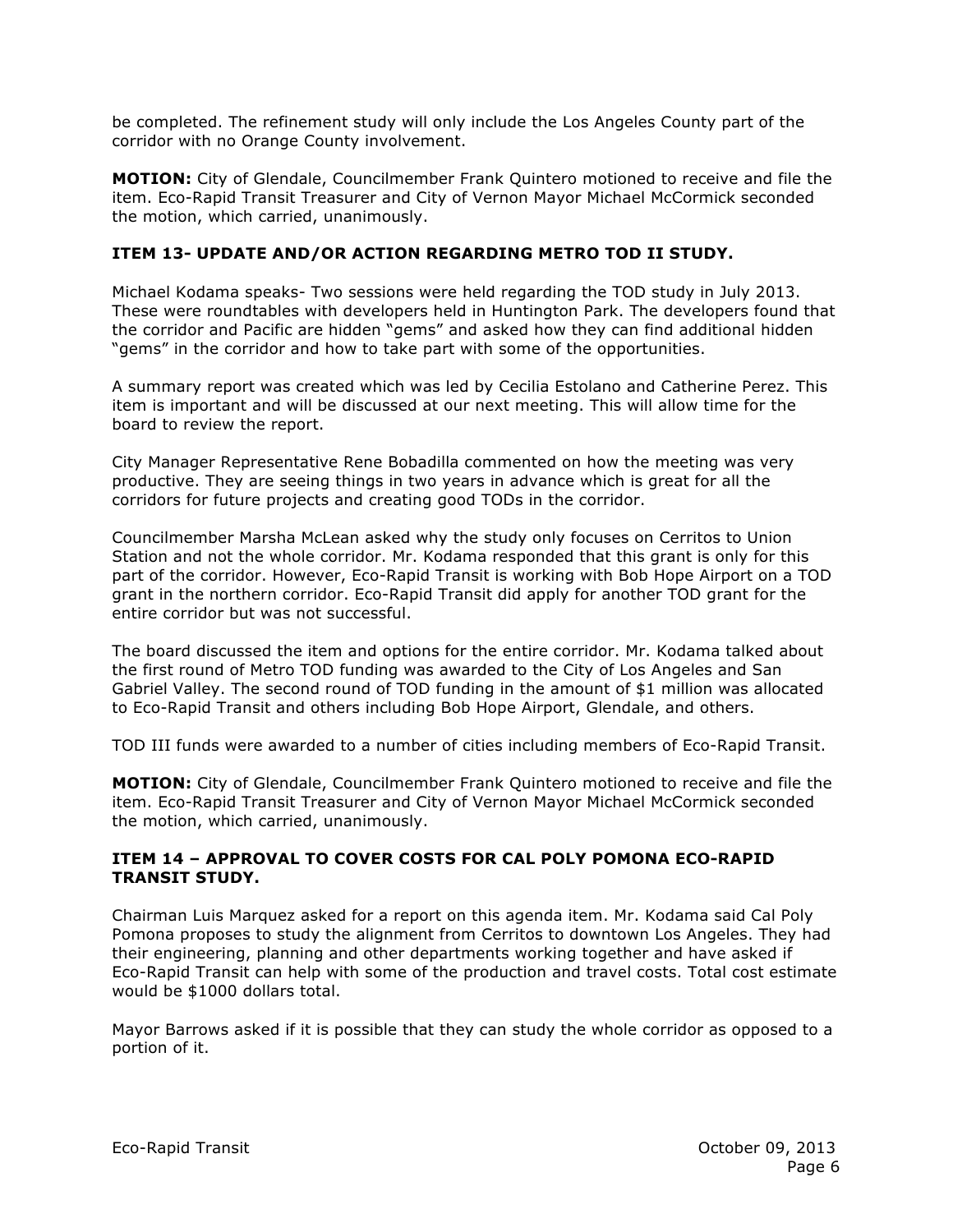be completed. The refinement study will only include the Los Angeles County part of the corridor with no Orange County involvement.

**MOTION:** City of Glendale, Councilmember Frank Quintero motioned to receive and file the item. Eco-Rapid Transit Treasurer and City of Vernon Mayor Michael McCormick seconded the motion, which carried, unanimously.

## **ITEM 13- UPDATE AND/OR ACTION REGARDING METRO TOD II STUDY.**

Michael Kodama speaks- Two sessions were held regarding the TOD study in July 2013. These were roundtables with developers held in Huntington Park. The developers found that the corridor and Pacific are hidden "gems" and asked how they can find additional hidden "gems" in the corridor and how to take part with some of the opportunities.

A summary report was created which was led by Cecilia Estolano and Catherine Perez. This item is important and will be discussed at our next meeting. This will allow time for the board to review the report.

City Manager Representative Rene Bobadilla commented on how the meeting was very productive. They are seeing things in two years in advance which is great for all the corridors for future projects and creating good TODs in the corridor.

Councilmember Marsha McLean asked why the study only focuses on Cerritos to Union Station and not the whole corridor. Mr. Kodama responded that this grant is only for this part of the corridor. However, Eco-Rapid Transit is working with Bob Hope Airport on a TOD grant in the northern corridor. Eco-Rapid Transit did apply for another TOD grant for the entire corridor but was not successful.

The board discussed the item and options for the entire corridor. Mr. Kodama talked about the first round of Metro TOD funding was awarded to the City of Los Angeles and San Gabriel Valley. The second round of TOD funding in the amount of \$1 million was allocated to Eco-Rapid Transit and others including Bob Hope Airport, Glendale, and others.

TOD III funds were awarded to a number of cities including members of Eco-Rapid Transit.

**MOTION:** City of Glendale, Councilmember Frank Quintero motioned to receive and file the item. Eco-Rapid Transit Treasurer and City of Vernon Mayor Michael McCormick seconded the motion, which carried, unanimously.

#### **ITEM 14 – APPROVAL TO COVER COSTS FOR CAL POLY POMONA ECO-RAPID TRANSIT STUDY.**

Chairman Luis Marquez asked for a report on this agenda item. Mr. Kodama said Cal Poly Pomona proposes to study the alignment from Cerritos to downtown Los Angeles. They had their engineering, planning and other departments working together and have asked if Eco-Rapid Transit can help with some of the production and travel costs. Total cost estimate would be \$1000 dollars total.

Mayor Barrows asked if it is possible that they can study the whole corridor as opposed to a portion of it.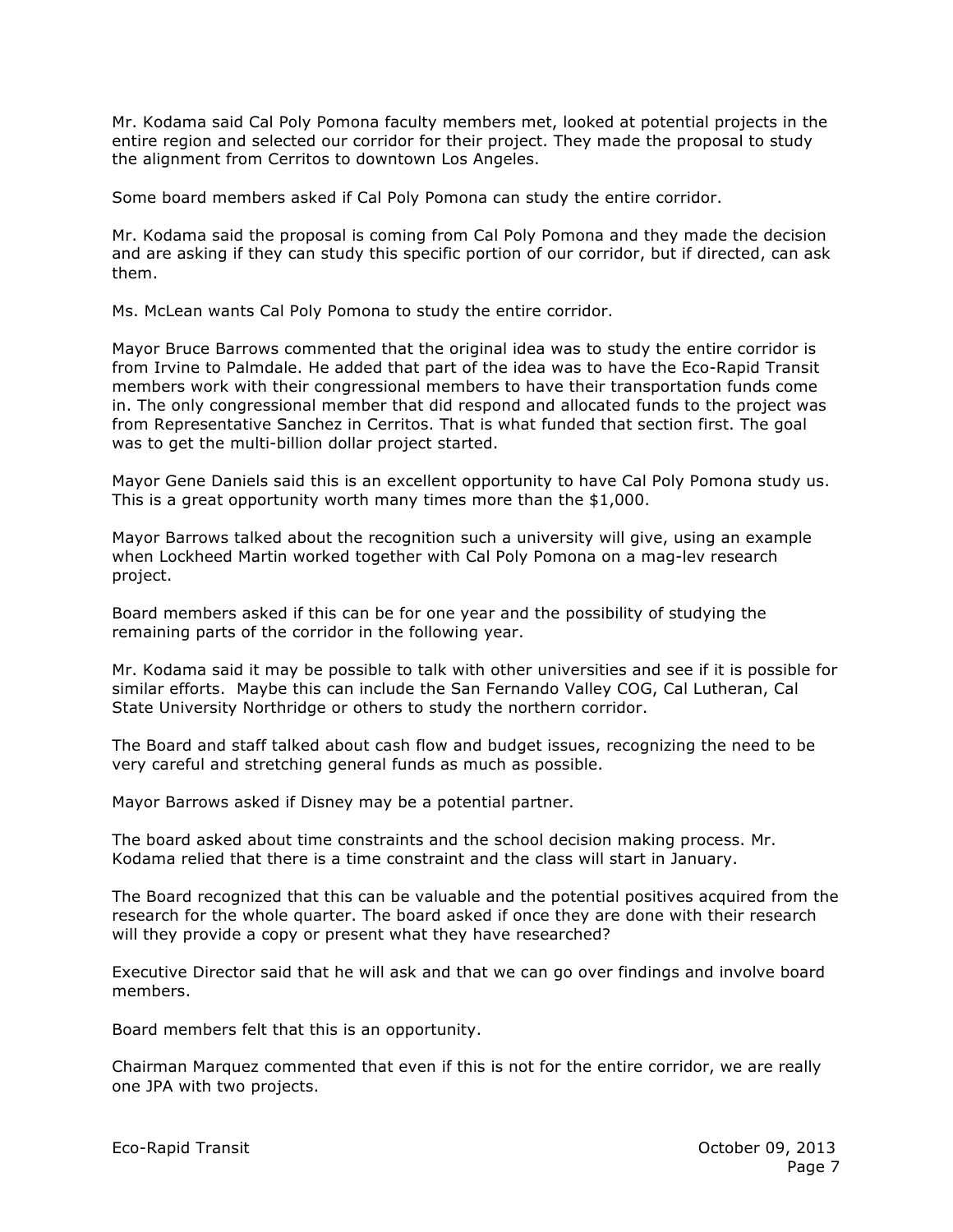Mr. Kodama said Cal Poly Pomona faculty members met, looked at potential projects in the entire region and selected our corridor for their project. They made the proposal to study the alignment from Cerritos to downtown Los Angeles.

Some board members asked if Cal Poly Pomona can study the entire corridor.

Mr. Kodama said the proposal is coming from Cal Poly Pomona and they made the decision and are asking if they can study this specific portion of our corridor, but if directed, can ask them.

Ms. McLean wants Cal Poly Pomona to study the entire corridor.

Mayor Bruce Barrows commented that the original idea was to study the entire corridor is from Irvine to Palmdale. He added that part of the idea was to have the Eco-Rapid Transit members work with their congressional members to have their transportation funds come in. The only congressional member that did respond and allocated funds to the project was from Representative Sanchez in Cerritos. That is what funded that section first. The goal was to get the multi-billion dollar project started.

Mayor Gene Daniels said this is an excellent opportunity to have Cal Poly Pomona study us. This is a great opportunity worth many times more than the \$1,000.

Mayor Barrows talked about the recognition such a university will give, using an example when Lockheed Martin worked together with Cal Poly Pomona on a mag-lev research project.

Board members asked if this can be for one year and the possibility of studying the remaining parts of the corridor in the following year.

Mr. Kodama said it may be possible to talk with other universities and see if it is possible for similar efforts. Maybe this can include the San Fernando Valley COG, Cal Lutheran, Cal State University Northridge or others to study the northern corridor.

The Board and staff talked about cash flow and budget issues, recognizing the need to be very careful and stretching general funds as much as possible.

Mayor Barrows asked if Disney may be a potential partner.

The board asked about time constraints and the school decision making process. Mr. Kodama relied that there is a time constraint and the class will start in January.

The Board recognized that this can be valuable and the potential positives acquired from the research for the whole quarter. The board asked if once they are done with their research will they provide a copy or present what they have researched?

Executive Director said that he will ask and that we can go over findings and involve board members.

Board members felt that this is an opportunity.

Chairman Marquez commented that even if this is not for the entire corridor, we are really one JPA with two projects.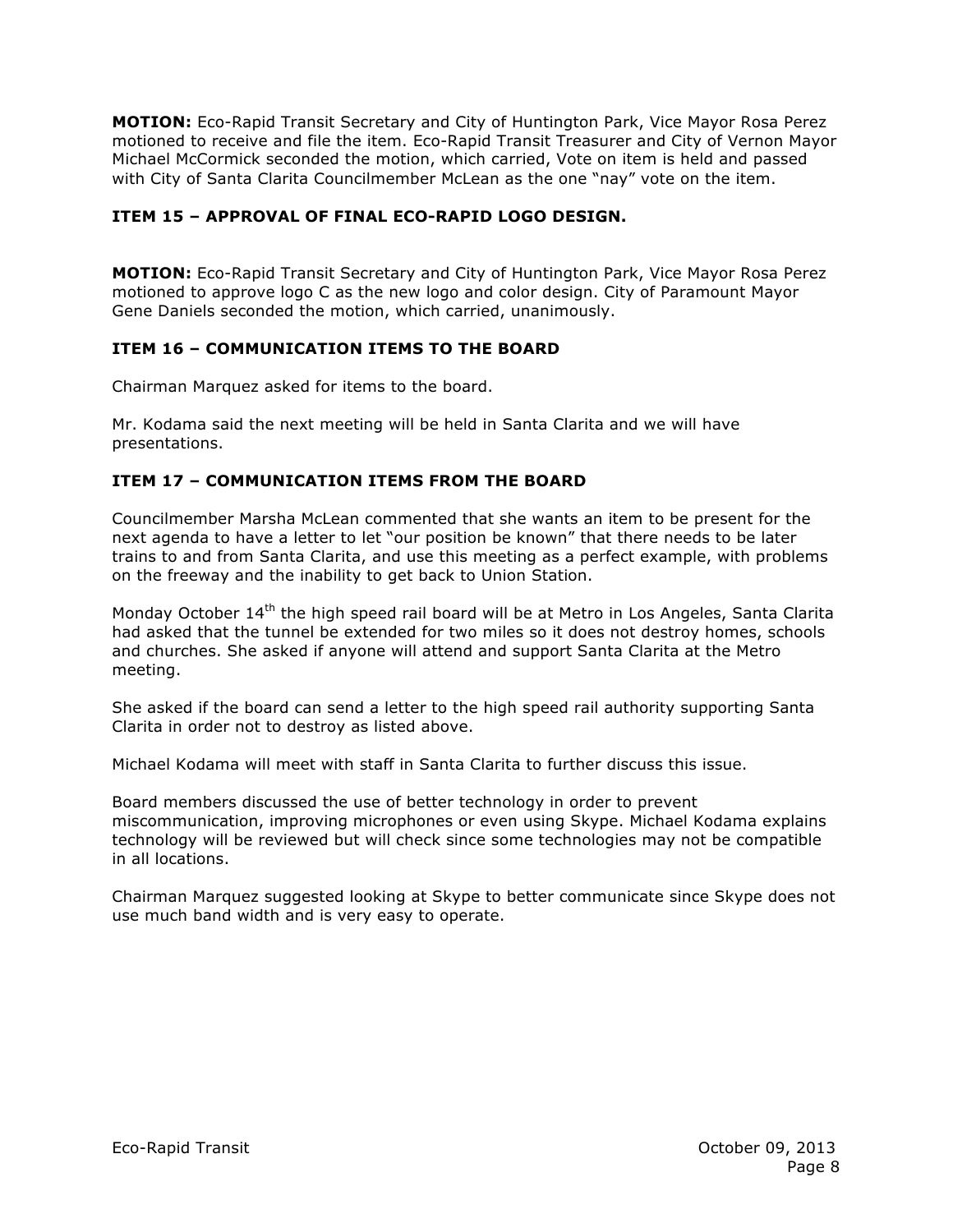**MOTION:** Eco-Rapid Transit Secretary and City of Huntington Park, Vice Mayor Rosa Perez motioned to receive and file the item. Eco-Rapid Transit Treasurer and City of Vernon Mayor Michael McCormick seconded the motion, which carried, Vote on item is held and passed with City of Santa Clarita Councilmember McLean as the one "nay" vote on the item.

## **ITEM 15 – APPROVAL OF FINAL ECO-RAPID LOGO DESIGN.**

**MOTION:** Eco-Rapid Transit Secretary and City of Huntington Park, Vice Mayor Rosa Perez motioned to approve logo C as the new logo and color design. City of Paramount Mayor Gene Daniels seconded the motion, which carried, unanimously.

## **ITEM 16 – COMMUNICATION ITEMS TO THE BOARD**

Chairman Marquez asked for items to the board.

Mr. Kodama said the next meeting will be held in Santa Clarita and we will have presentations.

## **ITEM 17 – COMMUNICATION ITEMS FROM THE BOARD**

Councilmember Marsha McLean commented that she wants an item to be present for the next agenda to have a letter to let "our position be known" that there needs to be later trains to and from Santa Clarita, and use this meeting as a perfect example, with problems on the freeway and the inability to get back to Union Station.

Monday October  $14<sup>th</sup>$  the high speed rail board will be at Metro in Los Angeles, Santa Clarita had asked that the tunnel be extended for two miles so it does not destroy homes, schools and churches. She asked if anyone will attend and support Santa Clarita at the Metro meeting.

She asked if the board can send a letter to the high speed rail authority supporting Santa Clarita in order not to destroy as listed above.

Michael Kodama will meet with staff in Santa Clarita to further discuss this issue.

Board members discussed the use of better technology in order to prevent miscommunication, improving microphones or even using Skype. Michael Kodama explains technology will be reviewed but will check since some technologies may not be compatible in all locations.

Chairman Marquez suggested looking at Skype to better communicate since Skype does not use much band width and is very easy to operate.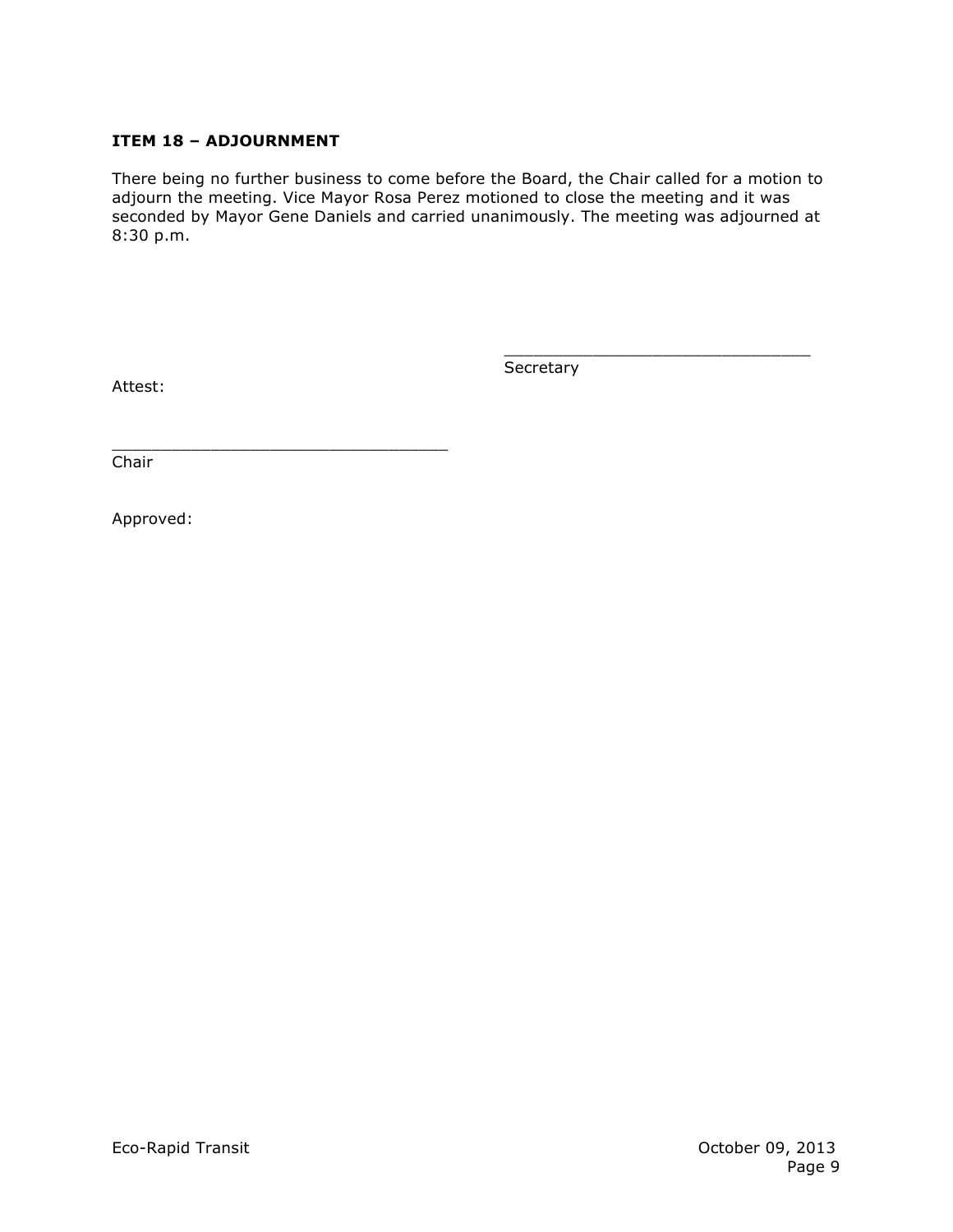## **ITEM 18 – ADJOURNMENT**

There being no further business to come before the Board, the Chair called for a motion to adjourn the meeting. Vice Mayor Rosa Perez motioned to close the meeting and it was seconded by Mayor Gene Daniels and carried unanimously. The meeting was adjourned at 8:30 p.m.

Attest:

**Secretary** 

\_\_\_\_\_\_\_\_\_\_\_\_\_\_\_\_\_\_\_\_\_\_\_\_\_\_\_\_\_\_\_

\_\_\_\_\_\_\_\_\_\_\_\_\_\_\_\_\_\_\_\_\_\_\_\_\_\_\_\_\_\_\_\_\_\_ Chair

Approved: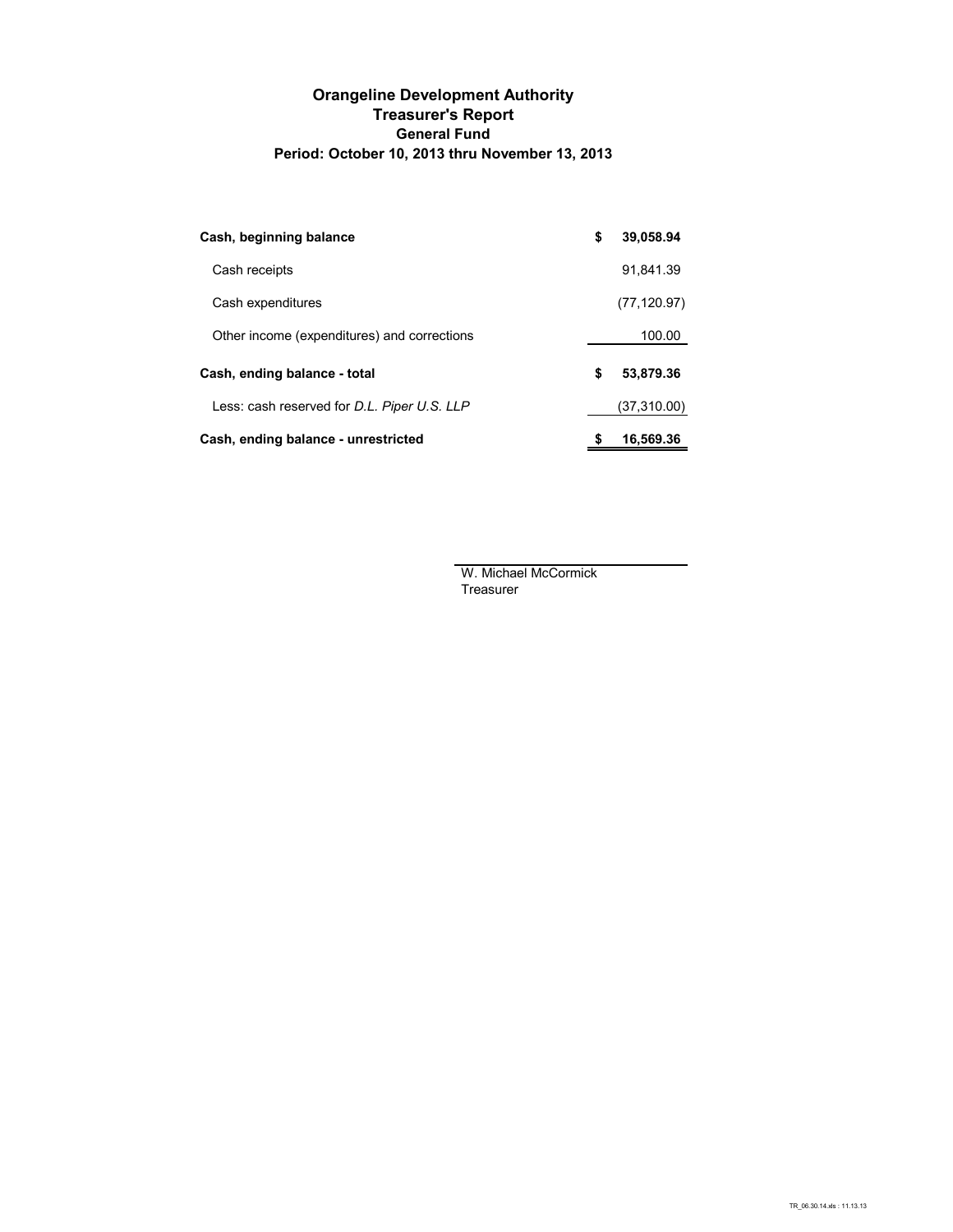#### **Orangeline Development Authority Treasurer's Report General Fund Period: October 10, 2013 thru November 13, 2013**

| Cash, beginning balance                     | \$<br>39,058.94 |
|---------------------------------------------|-----------------|
| Cash receipts                               | 91.841.39       |
| Cash expenditures                           | (77, 120.97)    |
| Other income (expenditures) and corrections | 100.00          |
| Cash, ending balance - total                | \$<br>53,879.36 |
| Less: cash reserved for D.L. Piper U.S. LLP | (37,310.00)     |
| Cash, ending balance - unrestricted         | 16,569.36       |

W. Michael McCormick Treasurer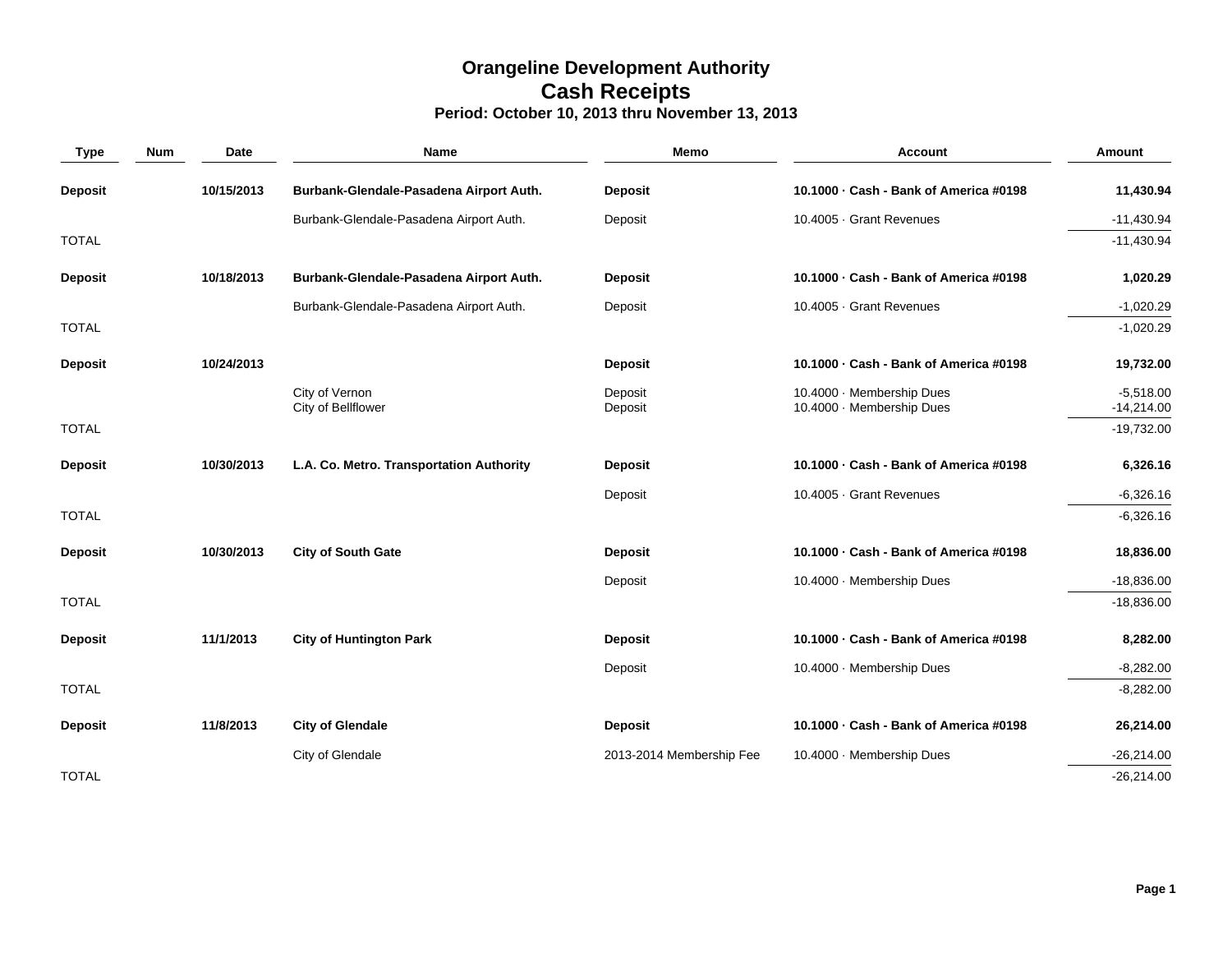## **Orangeline Development Authority Cash Receipts Period: October 10, 2013 thru November 13, 2013**

| <b>Type</b>    | <b>Num</b> | Date       | <b>Name</b>                              | Memo                     | <b>Account</b>                                         | <b>Amount</b>               |
|----------------|------------|------------|------------------------------------------|--------------------------|--------------------------------------------------------|-----------------------------|
| <b>Deposit</b> |            | 10/15/2013 | Burbank-Glendale-Pasadena Airport Auth.  | <b>Deposit</b>           | 10.1000 · Cash - Bank of America #0198                 | 11,430.94                   |
|                |            |            | Burbank-Glendale-Pasadena Airport Auth.  | Deposit                  | 10.4005 · Grant Revenues                               | $-11,430.94$                |
| <b>TOTAL</b>   |            |            |                                          |                          |                                                        | $-11,430.94$                |
| <b>Deposit</b> |            | 10/18/2013 | Burbank-Glendale-Pasadena Airport Auth.  | <b>Deposit</b>           | 10.1000 · Cash - Bank of America #0198                 | 1,020.29                    |
|                |            |            | Burbank-Glendale-Pasadena Airport Auth.  | Deposit                  | 10.4005 · Grant Revenues                               | $-1,020.29$                 |
| <b>TOTAL</b>   |            |            |                                          |                          |                                                        | $-1,020.29$                 |
| <b>Deposit</b> |            | 10/24/2013 |                                          | <b>Deposit</b>           | 10.1000 · Cash - Bank of America #0198                 | 19,732.00                   |
|                |            |            | City of Vernon<br>City of Bellflower     | Deposit<br>Deposit       | 10.4000 · Membership Dues<br>10.4000 · Membership Dues | $-5,518.00$<br>$-14,214.00$ |
| <b>TOTAL</b>   |            |            |                                          |                          |                                                        | $-19,732.00$                |
| <b>Deposit</b> |            | 10/30/2013 | L.A. Co. Metro. Transportation Authority | <b>Deposit</b>           | 10.1000 - Cash - Bank of America #0198                 | 6,326.16                    |
|                |            |            |                                          | Deposit                  | 10.4005 · Grant Revenues                               | $-6,326.16$                 |
| <b>TOTAL</b>   |            |            |                                          |                          |                                                        | $-6,326.16$                 |
| <b>Deposit</b> |            | 10/30/2013 | City of South Gate                       | <b>Deposit</b>           | 10.1000 · Cash - Bank of America #0198                 | 18,836.00                   |
|                |            |            |                                          | Deposit                  | 10.4000 · Membership Dues                              | $-18,836.00$                |
| <b>TOTAL</b>   |            |            |                                          |                          |                                                        | $-18,836.00$                |
| <b>Deposit</b> |            | 11/1/2013  | <b>City of Huntington Park</b>           | <b>Deposit</b>           | 10.1000 - Cash - Bank of America #0198                 | 8,282.00                    |
|                |            |            |                                          | Deposit                  | 10.4000 · Membership Dues                              | $-8,282.00$                 |
| <b>TOTAL</b>   |            |            |                                          |                          |                                                        | $-8,282.00$                 |
| <b>Deposit</b> |            | 11/8/2013  | <b>City of Glendale</b>                  | <b>Deposit</b>           | 10.1000 - Cash - Bank of America #0198                 | 26,214.00                   |
|                |            |            | City of Glendale                         | 2013-2014 Membership Fee | 10.4000 · Membership Dues                              | $-26,214.00$                |
| <b>TOTAL</b>   |            |            |                                          |                          |                                                        | $-26,214.00$                |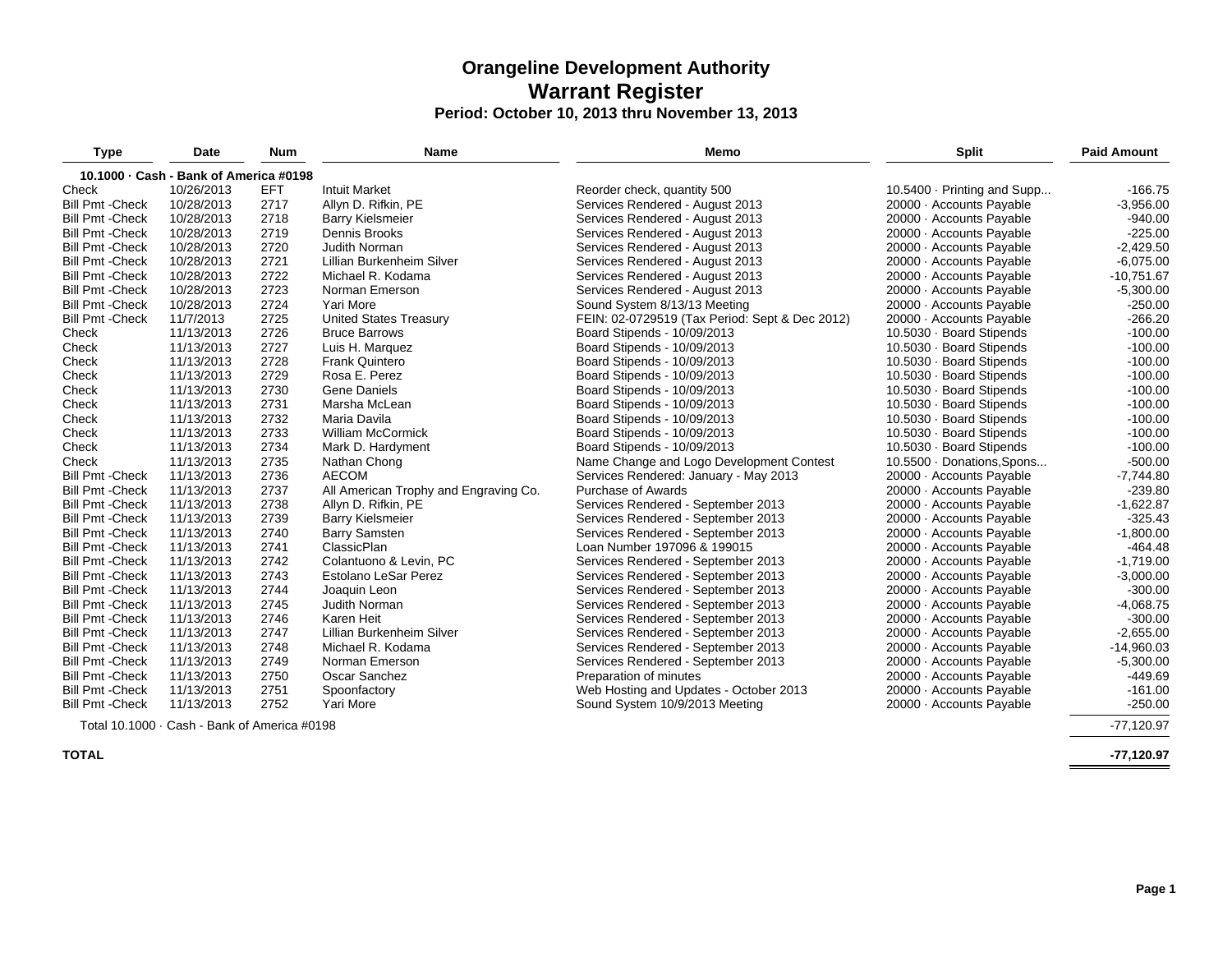# **Orangeline Development Authority Warrant Register**

## **Period: October 10, 2013 thru November 13, 2013**

| <b>Type</b>             | Date                                   | <b>Num</b> | Name                                  | Memo                                           | <b>Split</b>                | <b>Paid Amount</b> |
|-------------------------|----------------------------------------|------------|---------------------------------------|------------------------------------------------|-----------------------------|--------------------|
|                         | 10.1000 · Cash - Bank of America #0198 |            |                                       |                                                |                             |                    |
| Check                   | 10/26/2013                             | EFT        | <b>Intuit Market</b>                  | Reorder check, quantity 500                    | 10.5400 · Printing and Supp | $-166.75$          |
| <b>Bill Pmt - Check</b> | 10/28/2013                             | 2717       | Allyn D. Rifkin, PE                   | Services Rendered - August 2013                | 20000 - Accounts Payable    | $-3,956.00$        |
| <b>Bill Pmt - Check</b> | 10/28/2013                             | 2718       | <b>Barry Kielsmeier</b>               | Services Rendered - August 2013                | 20000 - Accounts Payable    | $-940.00$          |
| <b>Bill Pmt - Check</b> | 10/28/2013                             | 2719       | Dennis Brooks                         | Services Rendered - August 2013                | 20000 - Accounts Payable    | $-225.00$          |
| <b>Bill Pmt - Check</b> | 10/28/2013                             | 2720       | Judith Norman                         | Services Rendered - August 2013                | 20000 - Accounts Payable    | $-2,429.50$        |
| <b>Bill Pmt - Check</b> | 10/28/2013                             | 2721       | Lillian Burkenheim Silver             | Services Rendered - August 2013                | 20000 · Accounts Payable    | $-6,075.00$        |
| <b>Bill Pmt - Check</b> | 10/28/2013                             | 2722       | Michael R. Kodama                     | Services Rendered - August 2013                | 20000 · Accounts Payable    | $-10,751.67$       |
| <b>Bill Pmt - Check</b> | 10/28/2013                             | 2723       | Norman Emerson                        | Services Rendered - August 2013                | 20000 - Accounts Payable    | $-5,300.00$        |
| <b>Bill Pmt - Check</b> | 10/28/2013                             | 2724       | Yari More                             | Sound System 8/13/13 Meeting                   | 20000 · Accounts Payable    | $-250.00$          |
| <b>Bill Pmt - Check</b> | 11/7/2013                              | 2725       | <b>United States Treasury</b>         | FEIN: 02-0729519 (Tax Period: Sept & Dec 2012) | 20000 - Accounts Payable    | $-266.20$          |
| Check                   | 11/13/2013                             | 2726       | <b>Bruce Barrows</b>                  | Board Stipends - 10/09/2013                    | 10.5030 · Board Stipends    | $-100.00$          |
| Check                   | 11/13/2013                             | 2727       | Luis H. Marquez                       | Board Stipends - 10/09/2013                    | 10.5030 · Board Stipends    | $-100.00$          |
| Check                   | 11/13/2013                             | 2728       | <b>Frank Quintero</b>                 | Board Stipends - 10/09/2013                    | 10.5030 · Board Stipends    | $-100.00$          |
| Check                   | 11/13/2013                             | 2729       | Rosa E. Perez                         | Board Stipends - 10/09/2013                    | 10.5030 · Board Stipends    | $-100.00$          |
| Check                   | 11/13/2013                             | 2730       | Gene Daniels                          | Board Stipends - 10/09/2013                    | 10.5030 · Board Stipends    | $-100.00$          |
| Check                   | 11/13/2013                             | 2731       | Marsha McLean                         | Board Stipends - 10/09/2013                    | 10.5030 · Board Stipends    | $-100.00$          |
| Check                   | 11/13/2013                             | 2732       | Maria Davila                          | Board Stipends - 10/09/2013                    | 10.5030 · Board Stipends    | $-100.00$          |
| Check                   | 11/13/2013                             | 2733       | <b>William McCormick</b>              | Board Stipends - 10/09/2013                    | 10.5030 · Board Stipends    | $-100.00$          |
| Check                   | 11/13/2013                             | 2734       | Mark D. Hardyment                     | Board Stipends - 10/09/2013                    | 10.5030 · Board Stipends    | $-100.00$          |
| Check                   | 11/13/2013                             | 2735       | Nathan Chong                          | Name Change and Logo Development Contest       | 10.5500 · Donations, Spons  | $-500.00$          |
| <b>Bill Pmt - Check</b> | 11/13/2013                             | 2736       | <b>AECOM</b>                          | Services Rendered: January - May 2013          | 20000 - Accounts Payable    | $-7,744.80$        |
| <b>Bill Pmt - Check</b> | 11/13/2013                             | 2737       | All American Trophy and Engraving Co. | <b>Purchase of Awards</b>                      | 20000 · Accounts Payable    | $-239.80$          |
| <b>Bill Pmt - Check</b> | 11/13/2013                             | 2738       | Allyn D. Rifkin, PE                   | Services Rendered - September 2013             | 20000 - Accounts Payable    | $-1,622.87$        |
| <b>Bill Pmt - Check</b> | 11/13/2013                             | 2739       | <b>Barry Kielsmeier</b>               | Services Rendered - September 2013             | 20000 - Accounts Payable    | $-325.43$          |
| <b>Bill Pmt - Check</b> | 11/13/2013                             | 2740       | <b>Barry Samsten</b>                  | Services Rendered - September 2013             | 20000 - Accounts Payable    | $-1,800.00$        |
| <b>Bill Pmt - Check</b> | 11/13/2013                             | 2741       | ClassicPlan                           | Loan Number 197096 & 199015                    | 20000 · Accounts Payable    | $-464.48$          |
| <b>Bill Pmt - Check</b> | 11/13/2013                             | 2742       | Colantuono & Levin, PC                | Services Rendered - September 2013             | 20000 · Accounts Payable    | $-1,719.00$        |
| <b>Bill Pmt - Check</b> | 11/13/2013                             | 2743       | Estolano LeSar Perez                  | Services Rendered - September 2013             | 20000 · Accounts Payable    | $-3,000.00$        |
| <b>Bill Pmt - Check</b> | 11/13/2013                             | 2744       | Joaquin Leon                          | Services Rendered - September 2013             | 20000 · Accounts Payable    | $-300.00$          |
| <b>Bill Pmt - Check</b> | 11/13/2013                             | 2745       | Judith Norman                         | Services Rendered - September 2013             | 20000 · Accounts Payable    | $-4,068.75$        |
| <b>Bill Pmt - Check</b> | 11/13/2013                             | 2746       | Karen Heit                            | Services Rendered - September 2013             | 20000 · Accounts Payable    | $-300.00$          |
| <b>Bill Pmt - Check</b> | 11/13/2013                             | 2747       | Lillian Burkenheim Silver             | Services Rendered - September 2013             | 20000 · Accounts Payable    | $-2,655.00$        |
| <b>Bill Pmt - Check</b> | 11/13/2013                             | 2748       | Michael R. Kodama                     | Services Rendered - September 2013             | 20000 · Accounts Payable    | $-14,960.03$       |
| <b>Bill Pmt - Check</b> | 11/13/2013                             | 2749       | Norman Emerson                        | Services Rendered - September 2013             | 20000 · Accounts Payable    | $-5,300.00$        |
| <b>Bill Pmt - Check</b> | 11/13/2013                             | 2750       | Oscar Sanchez                         | Preparation of minutes                         | 20000 · Accounts Payable    | $-449.69$          |
| <b>Bill Pmt - Check</b> | 11/13/2013                             | 2751       | Spoonfactory                          | Web Hosting and Updates - October 2013         | 20000 · Accounts Payable    | $-161.00$          |
| <b>Bill Pmt - Check</b> | 11/13/2013                             | 2752       | Yari More                             | Sound System 10/9/2013 Meeting                 | 20000 · Accounts Payable    | $-250.00$          |

Total 10.1000 · Cash - Bank of America #0198

**TOTAL**

-77,120.97

**-77,120.97**